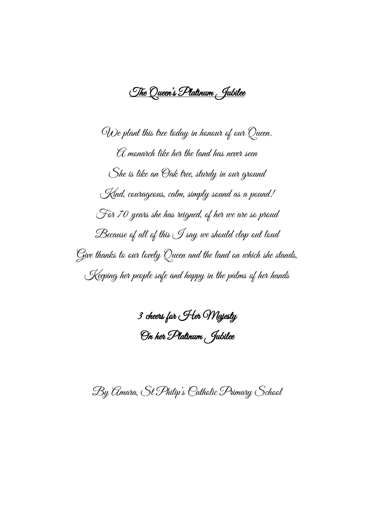The Queen's Platinum Jubilee

We plant this tree today in honour of our Queen. A monarch like her the land has never seen She is like an Oak tree, sturdy in our ground Kind, courageous, calm, simply sound as a pound! For 70 years she has reigned, of her we are so proud Because of all of this I say we should clap out loud Give thanks to our lovely Queen and the land on which she stands, Keeping her people safe and happy in the palms of her hands

3 cheers for Her Majesty On her Platinum Jubilee

By Amara, St Philip's Catholic Primary School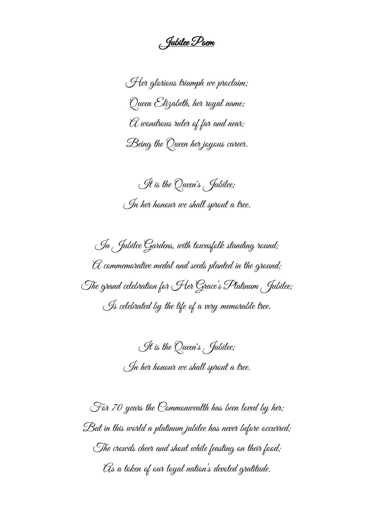Jubilee Poem

Her glorious triumph we proclaim; Queen Elizabeth, her royal name;  $\mathcal {A}$  wondrous ruler of far and near; Being the Queen her joyous career.

It is the Queen's Jubilee; In her honour we shall sprout a tree.

In Jubilee Gardens, with townsfolk standing round;  ${\mathcal{A}}$  commemorative medal and seeds planted in the ground; The grand celebration for Her Grace's Platinum Jubilee; Is celebrated by the life of a very memorable tree.

> It is the Queen's Jubilee; In her honour we shall sprout a tree.

For 70 years the Commonwealth has been loved by her; But in this world a platinum jubilee has never before occurred; The crowds cheer and shout while feasting on their food; As a token of our loyal nation's devoted gratitude.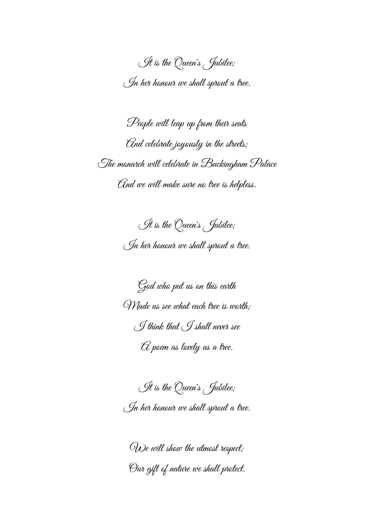It is the Queen's Jubilee; In her honour we shall sprout a tree.

People will leap up from their seats And celebrate joyously in the streets; The monarch will celebrate in Buckingham Palace And we will make sure no tree is helpless.

> It is the Queen's Jubilee; In her honour we shall sprout a tree.

> God who put us on this earth Made us see what each tree is worth; I think that I shall never see  ${\mathcal{C}}$  poem as lovely as a tree.

> It is the Queen's Jubilee; In her honour we shall sprout a tree.

We will show the utmost respect; Our gift of nature we shall protect.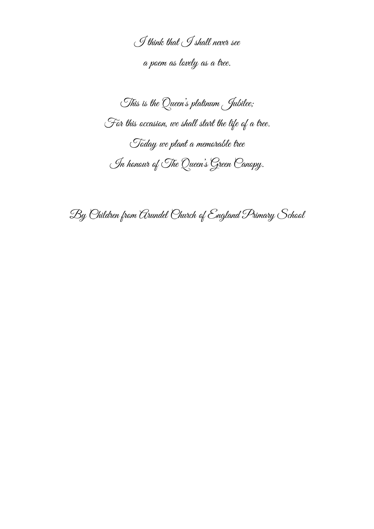I think that I shall never see a poem as lovely as a tree.

This is the Queen's platinum Jubilee; For this occasion, we shall start the life of a tree. Today we plant a memorable tree In honour of The Queen's Green Canopy.

By Children from Arundel Church of England Primary School